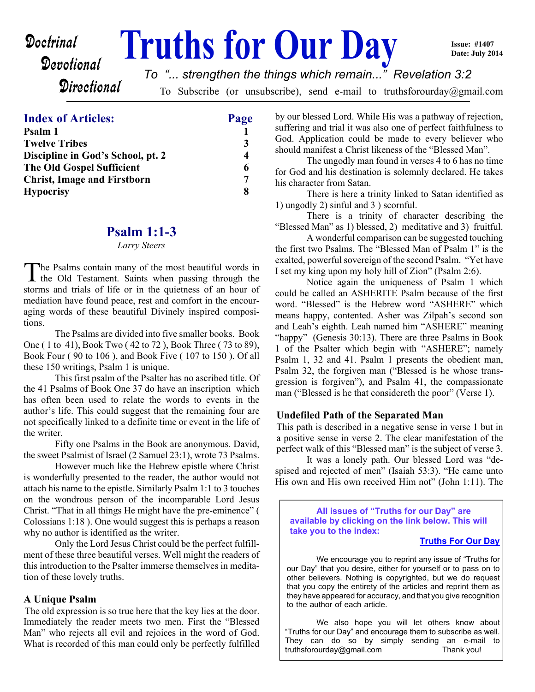# Devotional

**Doctrinal** Truths for Our Day

**Issue: #1407 Date: July 2014**

**Directional** 

*To "... strengthen the things which remain..." Revelation 3:2*

To Subscribe (or unsubscribe), send e-mail to truthsforourday@gmail.com

## **Index of Articles: Page**

| Psalm 1                            |   |
|------------------------------------|---|
| <b>Twelve Tribes</b>               |   |
| Discipline in God's School, pt. 2  | 4 |
| <b>The Old Gospel Sufficient</b>   | 6 |
| <b>Christ, Image and Firstborn</b> | 7 |
| <b>Hypocrisy</b>                   | 8 |

## **Psalm 1:1-3**

#### *Larry Steers*

The Psalms contain many of the most beautiful words in<br>the Old Testament. Saints when passing through the he Psalms contain many of the most beautiful words in storms and trials of life or in the quietness of an hour of mediation have found peace, rest and comfort in the encouraging words of these beautiful Divinely inspired compositions.

The Psalms are divided into five smaller books. Book One ( 1 to 41), Book Two ( 42 to 72 ), Book Three ( 73 to 89), Book Four ( 90 to 106 ), and Book Five ( 107 to 150 ). Of all these 150 writings, Psalm 1 is unique.

 This first psalm of the Psalter has no ascribed title. Of the 41 Psalms of Book One 37 do have an inscription which has often been used to relate the words to events in the author's life. This could suggest that the remaining four are not specifically linked to a definite time or event in the life of the writer.

 Fifty one Psalms in the Book are anonymous. David, the sweet Psalmist of Israel (2 Samuel 23:1), wrote 73 Psalms.

However much like the Hebrew epistle where Christ is wonderfully presented to the reader, the author would not attach his name to the epistle. Similarly Psalm 1:1 to 3 touches on the wondrous person of the incomparable Lord Jesus Christ. "That in all things He might have the pre-eminence" ( Colossians 1:18 ). One would suggest this is perhaps a reason why no author is identified as the writer.

 Only the Lord Jesus Christ could be the perfect fulfillment of these three beautiful verses. Well might the readers of this introduction to the Psalter immerse themselves in meditation of these lovely truths.

## **A Unique Psalm**

The old expression is so true here that the key lies at the door. Immediately the reader meets two men. First the "Blessed Man" who rejects all evil and rejoices in the word of God. What is recorded of this man could only be perfectly fulfilled

by our blessed Lord. While His was a pathway of rejection, suffering and trial it was also one of perfect faithfulness to God. Application could be made to every believer who should manifest a Christ likeness of the "Blessed Man".

 The ungodly man found in verses 4 to 6 has no time for God and his destination is solemnly declared. He takes his character from Satan.

 There is here a trinity linked to Satan identified as 1) ungodly 2) sinful and 3 ) scornful.

 There is a trinity of character describing the "Blessed Man" as 1) blessed, 2) meditative and 3) fruitful.

 A wonderful comparison can be suggested touching the first two Psalms. The "Blessed Man of Psalm 1" is the exalted, powerful sovereign of the second Psalm. "Yet have I set my king upon my holy hill of Zion" (Psalm 2:6).

 Notice again the uniqueness of Psalm 1 which could be called an ASHERITE Psalm because of the first word. "Blessed" is the Hebrew word "ASHERE" which means happy, contented. Asher was Zilpah's second son and Leah's eighth. Leah named him "ASHERE" meaning "happy" (Genesis 30:13). There are three Psalms in Book 1 of the Psalter which begin with "ASHERE"; namely Psalm 1, 32 and 41. Psalm 1 presents the obedient man, Psalm 32, the forgiven man ("Blessed is he whose transgression is forgiven"), and Psalm 41, the compassionate man ("Blessed is he that considereth the poor" (Verse 1).

## **Undefiled Path of the Separated Man**

This path is described in a negative sense in verse 1 but in a positive sense in verse 2. The clear manifestation of the perfect walk of this "Blessed man" is the subject of verse 3.

 It was a lonely path. Our blessed Lord was "despised and rejected of men" (Isaiah 53:3). "He came unto His own and His own received Him not" (John 1:11). The

**All issues of "Truths for our Day" are available by clicking on the link below. This will take you to the index:**

### **[Truths For Our Day](http://truthsforourday.com)**

 We encourage you to reprint any issue of "Truths for our Day" that you desire, either for yourself or to pass on to other believers. Nothing is copyrighted, but we do request that you copy the entirety of the articles and reprint them as they have appeared for accuracy, and that you give recognition to the author of each article.

We also hope you will let others know about "Truths for our Day" and encourage them to subscribe as well. They can do so by simply sending an e-mail to truthsforourday@gmail.com Thank you!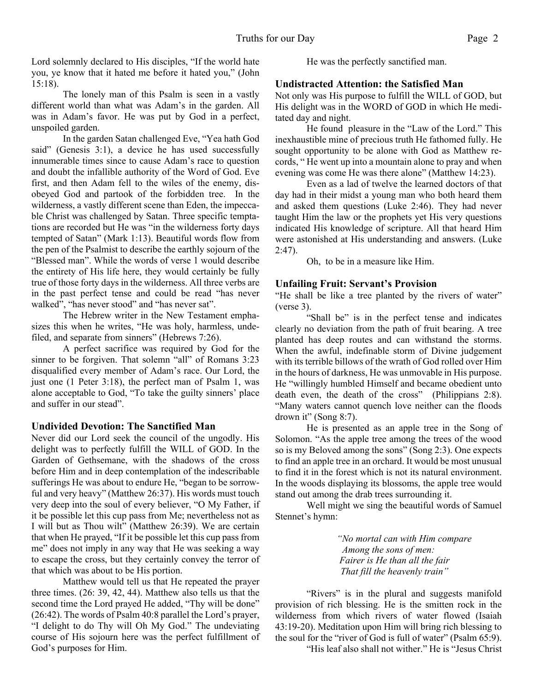Lord solemnly declared to His disciples, "If the world hate you, ye know that it hated me before it hated you," (John 15:18).

The lonely man of this Psalm is seen in a vastly different world than what was Adam's in the garden. All was in Adam's favor. He was put by God in a perfect, unspoiled garden.

In the garden Satan challenged Eve, "Yea hath God said" (Genesis 3:1), a device he has used successfully innumerable times since to cause Adam's race to question and doubt the infallible authority of the Word of God. Eve first, and then Adam fell to the wiles of the enemy, disobeyed God and partook of the forbidden tree. In the wilderness, a vastly different scene than Eden, the impeccable Christ was challenged by Satan. Three specific temptations are recorded but He was "in the wilderness forty days tempted of Satan" (Mark 1:13). Beautiful words flow from the pen of the Psalmist to describe the earthly sojourn of the "Blessed man". While the words of verse 1 would describe the entirety of His life here, they would certainly be fully true of those forty days in the wilderness. All three verbs are in the past perfect tense and could be read "has never walked", "has never stood" and "has never sat".

The Hebrew writer in the New Testament emphasizes this when he writes, "He was holy, harmless, undefiled, and separate from sinners" (Hebrews 7:26).

A perfect sacrifice was required by God for the sinner to be forgiven. That solemn "all" of Romans 3:23 disqualified every member of Adam's race. Our Lord, the just one (1 Peter 3:18), the perfect man of Psalm 1, was alone acceptable to God, "To take the guilty sinners' place and suffer in our stead".

## **Undivided Devotion: The Sanctified Man**

Never did our Lord seek the council of the ungodly. His delight was to perfectly fulfill the WILL of GOD. In the Garden of Gethsemane, with the shadows of the cross before Him and in deep contemplation of the indescribable sufferings He was about to endure He, "began to be sorrowful and very heavy" (Matthew 26:37). His words must touch very deep into the soul of every believer, "O My Father, if it be possible let this cup pass from Me; nevertheless not as I will but as Thou wilt" (Matthew 26:39). We are certain that when He prayed, "If it be possible let this cup pass from me" does not imply in any way that He was seeking a way to escape the cross, but they certainly convey the terror of that which was about to be His portion.

 Matthew would tell us that He repeated the prayer three times. (26: 39, 42, 44). Matthew also tells us that the second time the Lord prayed He added, "Thy will be done" (26:42). The words of Psalm 40:8 parallel the Lord's prayer, "I delight to do Thy will Oh My God." The undeviating course of His sojourn here was the perfect fulfillment of God's purposes for Him.

He was the perfectly sanctified man.

## **Undistracted Attention: the Satisfied Man**

Not only was His purpose to fulfill the WILL of GOD, but His delight was in the WORD of GOD in which He meditated day and night.

He found pleasure in the "Law of the Lord." This inexhaustible mine of precious truth He fathomed fully. He sought opportunity to be alone with God as Matthew records, " He went up into a mountain alone to pray and when evening was come He was there alone" (Matthew 14:23).

 Even as a lad of twelve the learned doctors of that day had in their midst a young man who both heard them and asked them questions (Luke 2:46). They had never taught Him the law or the prophets yet His very questions indicated His knowledge of scripture. All that heard Him were astonished at His understanding and answers. (Luke 2:47).

Oh, to be in a measure like Him.

## **Unfailing Fruit: Servant's Provision**

"He shall be like a tree planted by the rivers of water" (verse 3).

"Shall be" is in the perfect tense and indicates clearly no deviation from the path of fruit bearing. A tree planted has deep routes and can withstand the storms. When the awful, indefinable storm of Divine judgement with its terrible billows of the wrath of God rolled over Him in the hours of darkness, He was unmovable in His purpose. He "willingly humbled Himself and became obedient unto death even, the death of the cross" (Philippians 2:8). "Many waters cannot quench love neither can the floods drown it" (Song  $8:7$ ).

 He is presented as an apple tree in the Song of Solomon. "As the apple tree among the trees of the wood so is my Beloved among the sons" (Song 2:3). One expects to find an apple tree in an orchard. It would be most unusual to find it in the forest which is not its natural environment. In the woods displaying its blossoms, the apple tree would stand out among the drab trees surrounding it.

 Well might we sing the beautiful words of Samuel Stennet's hymn:

> *"No mortal can with Him compare Among the sons of men: Fairer is He than all the fair That fill the heavenly train"*

"Rivers" is in the plural and suggests manifold provision of rich blessing. He is the smitten rock in the wilderness from which rivers of water flowed (Isaiah 43:19-20). Meditation upon Him will bring rich blessing to the soul for the "river of God is full of water" (Psalm 65:9).

"His leaf also shall not wither." He is "Jesus Christ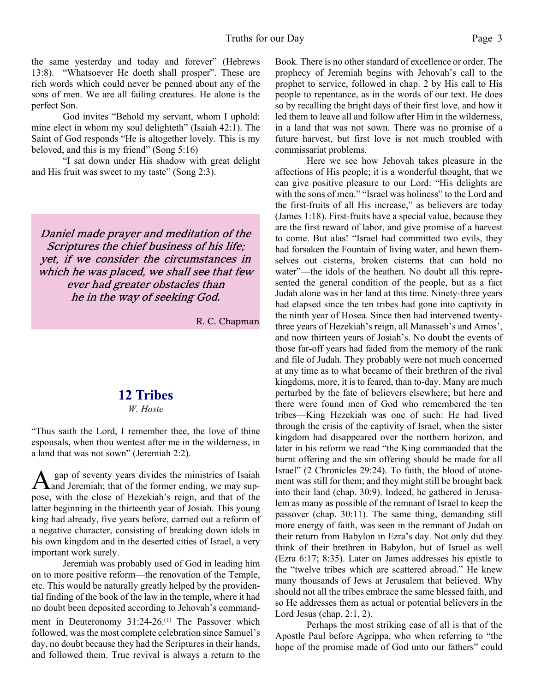the same yesterday and today and forever" (Hebrews 13:8). "Whatsoever He doeth shall prosper". These are rich words which could never be penned about any of the sons of men. We are all failing creatures. He alone is the perfect Son.

 God invites "Behold my servant, whom I uphold: mine elect in whom my soul delighteth" (Isaiah 42:1). The Saint of God responds "He is altogether lovely. This is my beloved, and this is my friend" (Song 5:16)

 "I sat down under His shadow with great delight and His fruit was sweet to my taste" (Song 2:3).

Daniel made prayer and meditation of the Scriptures the chief business of his life; yet, if we consider the circumstances in which he was placed, we shall see that few ever had greater obstacles than he in the way of seeking God.

R. C. Chapman

## **12 Tribes**

#### *W. Hoste*

"Thus saith the Lord, I remember thee, the love of thine espousals, when thou wentest after me in the wilderness, in a land that was not sown" (Jeremiah 2:2).

A gap of seventy years divides the ministries of Isaiah<br>And Jeremiah; that of the former ending, we may sup gap of seventy years divides the ministries of Isaiah pose, with the close of Hezekiah's reign, and that of the latter beginning in the thirteenth year of Josiah. This young king had already, five years before, carried out a reform of a negative character, consisting of breaking down idols in his own kingdom and in the deserted cities of Israel, a very important work surely.

 Jeremiah was probably used of God in leading him on to more positive reform—the renovation of the Temple, etc. This would be naturally greatly helped by the providential finding of the book of the law in the temple, where it had no doubt been deposited according to Jehovah's commandment in Deuteronomy 31:24-26.<sup>(1)</sup> The Passover which followed, was the most complete celebration since Samuel's day, no doubt because they had the Scriptures in their hands, and followed them. True revival is always a return to the Book. There is no other standard of excellence or order. The prophecy of Jeremiah begins with Jehovah's call to the prophet to service, followed in chap. 2 by His call to His people to repentance, as in the words of our text. He does so by recalling the bright days of their first love, and how it led them to leave all and follow after Him in the wilderness, in a land that was not sown. There was no promise of a future harvest, but first love is not much troubled with commissariat problems.

 Here we see how Jehovah takes pleasure in the affections of His people; it is a wonderful thought, that we can give positive pleasure to our Lord: "His delights are with the sons of men." "Israel was holiness" to the Lord and the first-fruits of all His increase," as believers are today (James 1:18). First-fruits have a special value, because they are the first reward of labor, and give promise of a harvest to come. But alas! "Israel had committed two evils, they had forsaken the Fountain of living water, and hewn themselves out cisterns, broken cisterns that can hold no water"—the idols of the heathen. No doubt all this represented the general condition of the people, but as a fact Judah alone was in her land at this time. Ninety-three years had elapsed since the ten tribes had gone into captivity in the ninth year of Hosea. Since then had intervened twentythree years of Hezekiah's reign, all Manasseh's and Amos', and now thirteen years of Josiah's. No doubt the events of those far-off years had faded from the memory of the rank and file of Judah. They probably were not much concerned at any time as to what became of their brethren of the rival kingdoms, more, it is to feared, than to-day. Many are much perturbed by the fate of believers elsewhere; but here and there were found men of God who remembered the ten tribes—King Hezekiah was one of such: He had lived through the crisis of the captivity of Israel, when the sister kingdom had disappeared over the northern horizon, and later in his reform we read "the King commanded that the burnt offering and the sin offering should be made for all Israel" (2 Chronicles 29:24). To faith, the blood of atonement was still for them; and they might still be brought back into their land (chap. 30:9). Indeed, he gathered in Jerusalem as many as possible of the remnant of Israel to keep the passover (chap. 30:11). The same thing, demanding still more energy of faith, was seen in the remnant of Judah on their return from Babylon in Ezra's day. Not only did they think of their brethren in Babylon, but of Israel as well (Ezra 6:17; 8:35). Later on James addresses his epistle to the "twelve tribes which are scattered abroad." He knew many thousands of Jews at Jerusalem that believed. Why should not all the tribes embrace the same blessed faith, and so He addresses them as actual or potential believers in the Lord Jesus (chap. 2:1, 2).

 Perhaps the most striking case of all is that of the Apostle Paul before Agrippa, who when referring to "the hope of the promise made of God unto our fathers" could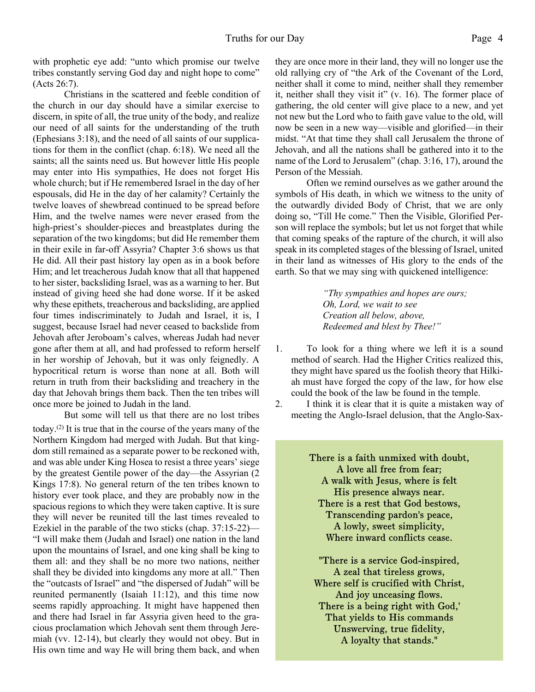with prophetic eye add: "unto which promise our twelve tribes constantly serving God day and night hope to come" (Acts 26:7).

 Christians in the scattered and feeble condition of the church in our day should have a similar exercise to discern, in spite of all, the true unity of the body, and realize our need of all saints for the understanding of the truth (Ephesians 3:18), and the need of all saints of our supplications for them in the conflict (chap. 6:18). We need all the saints; all the saints need us. But however little His people may enter into His sympathies, He does not forget His whole church; but if He remembered Israel in the day of her espousals, did He in the day of her calamity? Certainly the twelve loaves of shewbread continued to be spread before Him, and the twelve names were never erased from the high-priest's shoulder-pieces and breastplates during the separation of the two kingdoms; but did He remember them in their exile in far-off Assyria? Chapter 3:6 shows us that He did. All their past history lay open as in a book before Him; and let treacherous Judah know that all that happened to her sister, backsliding Israel, was as a warning to her. But instead of giving heed she had done worse. If it be asked why these epithets, treacherous and backsliding, are applied four times indiscriminately to Judah and Israel, it is, I suggest, because Israel had never ceased to backslide from Jehovah after Jeroboam's calves, whereas Judah had never gone after them at all, and had professed to reform herself in her worship of Jehovah, but it was only feignedly. A hypocritical return is worse than none at all. Both will return in truth from their backsliding and treachery in the day that Jehovah brings them back. Then the ten tribes will once more be joined to Judah in the land.

 But some will tell us that there are no lost tribes today.(2) It is true that in the course of the years many of the Northern Kingdom had merged with Judah. But that kingdom still remained as a separate power to be reckoned with, and was able under King Hosea to resist a three years' siege by the greatest Gentile power of the day—the Assyrian (2 Kings 17:8). No general return of the ten tribes known to history ever took place, and they are probably now in the spacious regions to which they were taken captive. It is sure they will never be reunited till the last times revealed to Ezekiel in the parable of the two sticks (chap. 37:15-22)— "I will make them (Judah and Israel) one nation in the land upon the mountains of Israel, and one king shall be king to them all: and they shall be no more two nations, neither shall they be divided into kingdoms any more at all." Then the "outcasts of Israel" and "the dispersed of Judah" will be reunited permanently (Isaiah 11:12), and this time now seems rapidly approaching. It might have happened then and there had Israel in far Assyria given heed to the gracious proclamation which Jehovah sent them through Jeremiah (vv. 12-14), but clearly they would not obey. But in His own time and way He will bring them back, and when they are once more in their land, they will no longer use the old rallying cry of "the Ark of the Covenant of the Lord, neither shall it come to mind, neither shall they remember it, neither shall they visit it" (v. 16). The former place of gathering, the old center will give place to a new, and yet not new but the Lord who to faith gave value to the old, will now be seen in a new way—visible and glorified—in their midst. "At that time they shall call Jerusalem the throne of Jehovah, and all the nations shall be gathered into it to the name of the Lord to Jerusalem" (chap. 3:16, 17), around the Person of the Messiah.

 Often we remind ourselves as we gather around the symbols of His death, in which we witness to the unity of the outwardly divided Body of Christ, that we are only doing so, "Till He come." Then the Visible, Glorified Person will replace the symbols; but let us not forget that while that coming speaks of the rapture of the church, it will also speak in its completed stages of the blessing of Israel, united in their land as witnesses of His glory to the ends of the earth. So that we may sing with quickened intelligence:

> *"Thy sympathies and hopes are ours; Oh, Lord, we wait to see Creation all below, above, Redeemed and blest by Thee!"*

- 1. To look for a thing where we left it is a sound method of search. Had the Higher Critics realized this, they might have spared us the foolish theory that Hilkiah must have forged the copy of the law, for how else could the book of the law be found in the temple.
- 2. I think it is clear that it is quite a mistaken way of meeting the Anglo-Israel delusion, that the Anglo-Sax-

There is a faith unmixed with doubt, A love all free from fear; A walk with Jesus, where is felt His presence always near. There is a rest that God bestows, Transcending pardon's peace, A lowly, sweet simplicity, Where inward conflicts cease.

"There is a service God-inspired, A zeal that tireless grows, Where self is crucified with Christ, And joy unceasing flows. There is a being right with God,' That yields to His commands Unswerving, true fidelity, A loyalty that stands."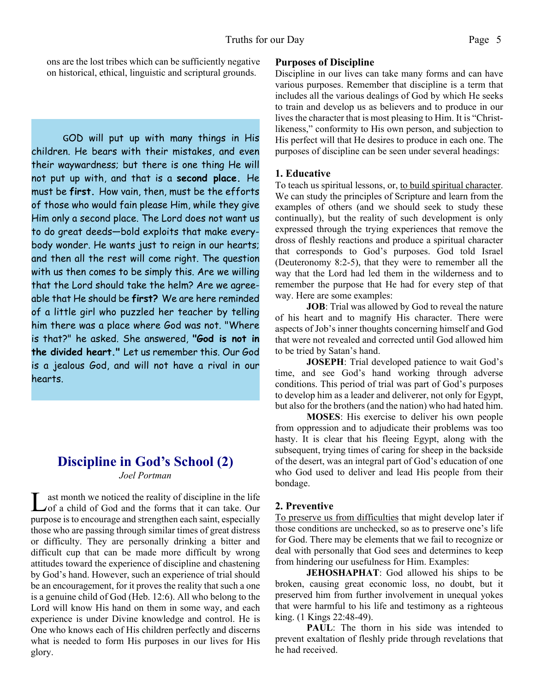ons are the lost tribes which can be sufficiently negative on historical, ethical, linguistic and scriptural grounds.

GOD will put up with many things in His children. He bears with their mistakes, and even their waywardness; but there is one thing He will not put up with, and that is a **second place.** He must be **first.** How vain, then, must be the efforts of those who would fain please Him, while they give Him only a second place. The Lord does not want us to do great deeds—bold exploits that make everybody wonder. He wants just to reign in our hearts; and then all the rest will come right. The question with us then comes to be simply this. Are we willing that the Lord should take the helm? Are we agreeable that He should be **first?** We are here reminded of a little girl who puzzled her teacher by telling him there was a place where God was not. "Where is that?" he asked. She answered, **"God is not in the divided heart."** Let us remember this. Our God is a jealous God, and will not have a rival in our hearts.

## **Discipline in God's School (2)**

*Joel Portman*

L ast month we noticed the reality of discipline in the life<br>
of a child of God and the forms that it can take. Our ast month we noticed the reality of discipline in the life purpose is to encourage and strengthen each saint, especially those who are passing through similar times of great distress or difficulty. They are personally drinking a bitter and difficult cup that can be made more difficult by wrong attitudes toward the experience of discipline and chastening by God's hand. However, such an experience of trial should be an encouragement, for it proves the reality that such a one is a genuine child of God (Heb. 12:6). All who belong to the Lord will know His hand on them in some way, and each experience is under Divine knowledge and control. He is One who knows each of His children perfectly and discerns what is needed to form His purposes in our lives for His glory.

## **Purposes of Discipline**

Discipline in our lives can take many forms and can have various purposes. Remember that discipline is a term that includes all the various dealings of God by which He seeks to train and develop us as believers and to produce in our lives the character that is most pleasing to Him. It is "Christlikeness," conformity to His own person, and subjection to His perfect will that He desires to produce in each one. The purposes of discipline can be seen under several headings:

## **1. Educative**

To teach us spiritual lessons, or, to build spiritual character. We can study the principles of Scripture and learn from the examples of others (and we should seek to study these continually), but the reality of such development is only expressed through the trying experiences that remove the dross of fleshly reactions and produce a spiritual character that corresponds to God's purposes. God told Israel (Deuteronomy 8:2-5), that they were to remember all the way that the Lord had led them in the wilderness and to remember the purpose that He had for every step of that way. Here are some examples:

**JOB**: Trial was allowed by God to reveal the nature of his heart and to magnify His character. There were aspects of Job's inner thoughts concerning himself and God that were not revealed and corrected until God allowed him to be tried by Satan's hand.

**JOSEPH**: Trial developed patience to wait God's time, and see God's hand working through adverse conditions. This period of trial was part of God's purposes to develop him as a leader and deliverer, not only for Egypt, but also for the brothers (and the nation) who had hated him.

**MOSES**: His exercise to deliver his own people from oppression and to adjudicate their problems was too hasty. It is clear that his fleeing Egypt, along with the subsequent, trying times of caring for sheep in the backside of the desert, was an integral part of God's education of one who God used to deliver and lead His people from their bondage.

## **2. Preventive**

To preserve us from difficulties that might develop later if those conditions are unchecked, so as to preserve one's life for God. There may be elements that we fail to recognize or deal with personally that God sees and determines to keep from hindering our usefulness for Him. Examples:

**JEHOSHAPHAT**: God allowed his ships to be broken, causing great economic loss, no doubt, but it preserved him from further involvement in unequal yokes that were harmful to his life and testimony as a righteous king. (1 Kings 22:48-49).

**PAUL**: The thorn in his side was intended to prevent exaltation of fleshly pride through revelations that he had received.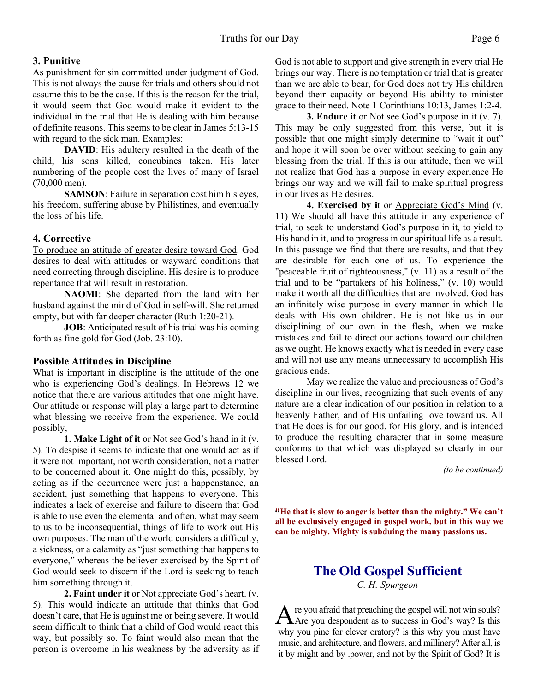## **3. Punitive**

As punishment for sin committed under judgment of God. This is not always the cause for trials and others should not assume this to be the case. If this is the reason for the trial, it would seem that God would make it evident to the individual in the trial that He is dealing with him because of definite reasons. This seems to be clear in James 5:13-15 with regard to the sick man. Examples:

**DAVID**: His adultery resulted in the death of the child, his sons killed, concubines taken. His later numbering of the people cost the lives of many of Israel (70,000 men).

**SAMSON**: Failure in separation cost him his eyes, his freedom, suffering abuse by Philistines, and eventually the loss of his life.

## **4. Corrective**

To produce an attitude of greater desire toward God. God desires to deal with attitudes or wayward conditions that need correcting through discipline. His desire is to produce repentance that will result in restoration.

**NAOMI**: She departed from the land with her husband against the mind of God in self-will. She returned empty, but with far deeper character (Ruth 1:20-21).

**JOB**: Anticipated result of his trial was his coming forth as fine gold for God (Job. 23:10).

## **Possible Attitudes in Discipline**

What is important in discipline is the attitude of the one who is experiencing God's dealings. In Hebrews 12 we notice that there are various attitudes that one might have. Our attitude or response will play a large part to determine what blessing we receive from the experience. We could possibly,

**1. Make Light of it** or Not see God's hand in it (v. 5). To despise it seems to indicate that one would act as if it were not important, not worth consideration, not a matter to be concerned about it. One might do this, possibly, by acting as if the occurrence were just a happenstance, an accident, just something that happens to everyone. This indicates a lack of exercise and failure to discern that God is able to use even the elemental and often, what may seem to us to be inconsequential, things of life to work out His own purposes. The man of the world considers a difficulty, a sickness, or a calamity as "just something that happens to everyone," whereas the believer exercised by the Spirit of God would seek to discern if the Lord is seeking to teach him something through it.

**2. Faint under it** or Not appreciate God's heart. (v. 5). This would indicate an attitude that thinks that God doesn't care, that He is against me or being severe. It would seem difficult to think that a child of God would react this way, but possibly so. To faint would also mean that the person is overcome in his weakness by the adversity as if God is not able to support and give strength in every trial He brings our way. There is no temptation or trial that is greater than we are able to bear, for God does not try His children beyond their capacity or beyond His ability to minister grace to their need. Note 1 Corinthians 10:13, James 1:2-4.

**3. Endure it** or Not see God's purpose in it (v. 7). This may be only suggested from this verse, but it is possible that one might simply determine to "wait it out" and hope it will soon be over without seeking to gain any blessing from the trial. If this is our attitude, then we will not realize that God has a purpose in every experience He brings our way and we will fail to make spiritual progress in our lives as He desires.

**4. Exercised by i**t or Appreciate God's Mind (v. 11) We should all have this attitude in any experience of trial, to seek to understand God's purpose in it, to yield to His hand in it, and to progress in our spiritual life as a result. In this passage we find that there are results, and that they are desirable for each one of us. To experience the "peaceable fruit of righteousness," (v. 11) as a result of the trial and to be "partakers of his holiness," (v. 10) would make it worth all the difficulties that are involved. God has an infinitely wise purpose in every manner in which He deals with His own children. He is not like us in our disciplining of our own in the flesh, when we make mistakes and fail to direct our actions toward our children as we ought. He knows exactly what is needed in every case and will not use any means unnecessary to accomplish His gracious ends.

 May we realize the value and preciousness of God's discipline in our lives, recognizing that such events of any nature are a clear indication of our position in relation to a heavenly Father, and of His unfailing love toward us. All that He does is for our good, for His glory, and is intended to produce the resulting character that in some measure conforms to that which was displayed so clearly in our blessed Lord.

*(to be continued)*

" **"He that is slow to anger is better than the mighty." We can't all be exclusively engaged in gospel work, but in this way we can be mighty. Mighty is subduing the many passions us.**

## **The Old Gospel Sufficient** *C. H. Spurgeon*

A re you afraid that preaching the gospel will not win souls?<br>Are you despondent as to success in God's way? Is this re you afraid that preaching the gospel will not win souls? why you pine for clever oratory? is this why you must have music, and architecture, and flowers, and millinery? After all, is it by might and by .power, and not by the Spirit of God? It is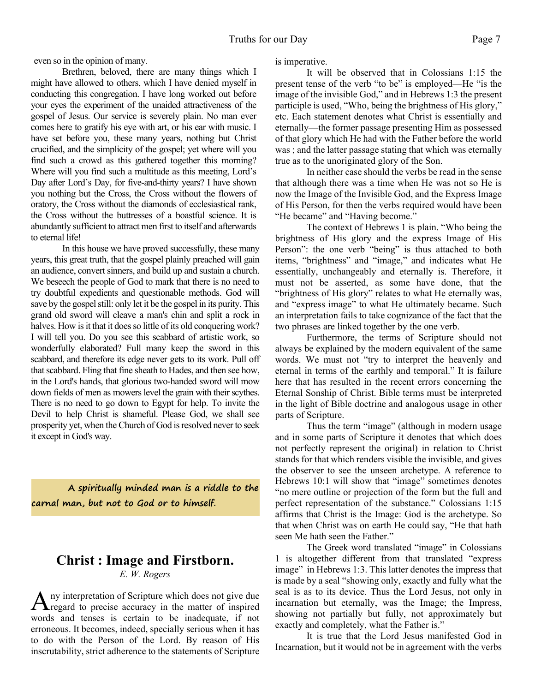even so in the opinion of many.

 Brethren, beloved, there are many things which I might have allowed to others, which I have denied myself in conducting this congregation. I have long worked out before your eyes the experiment of the unaided attractiveness of the gospel of Jesus. Our service is severely plain. No man ever comes here to gratify his eye with art, or his ear with music. I have set before you, these many years, nothing but Christ crucified, and the simplicity of the gospel; yet where will you find such a crowd as this gathered together this morning? Where will you find such a multitude as this meeting, Lord's Day after Lord's Day, for five-and-thirty years? I have shown you nothing but the Cross, the Cross without the flowers of oratory, the Cross without the diamonds of ecclesiastical rank, the Cross without the buttresses of a boastful science. It is abundantly sufficient to attract men first to itself and afterwards to eternal life!

 In this house we have proved successfully, these many years, this great truth, that the gospel plainly preached will gain an audience, convert sinners, and build up and sustain a church. We beseech the people of God to mark that there is no need to try doubtful expedients and questionable methods. God will save by the gospel still: only let it be the gospel in its purity. This grand old sword will cleave a man's chin and split a rock in halves. How is it that it does so little of its old conquering work? I will tell you. Do you see this scabbard of artistic work, so wonderfully elaborated? Full many keep the sword in this scabbard, and therefore its edge never gets to its work. Pull off that scabbard. Fling that fine sheath to Hades, and then see how, in the Lord's hands, that glorious two-handed sword will mow down fields of men as mowers level the grain with their scythes. There is no need to go down to Egypt for help. To invite the Devil to help Christ is shameful. Please God, we shall see prosperity yet, when the Church of God is resolved never to seek it except in God's way.

**A spiritually minded man is a riddle to the carnal man, but not to God or to himself.**

## **Christ : Image and Firstborn.**

*E. W. Rogers*

A ny interpretation of Scripture which does not give due<br>
regard to precise accuracy in the matter of inspired regard to precise accuracy in the matter of inspired words and tenses is certain to be inadequate, if not erroneous. It becomes, indeed, specially serious when it has to do with the Person of the Lord. By reason of His inscrutability, strict adherence to the statements of Scripture is imperative.

 It will be observed that in Colossians 1:15 the present tense of the verb "to be" is employed—He "is the image of the invisible God," and in Hebrews 1:3 the present participle is used, "Who, being the brightness of His glory," etc. Each statement denotes what Christ is essentially and eternally—the former passage presenting Him as possessed of that glory which He had with the Father before the world was ; and the latter passage stating that which was eternally true as to the unoriginated glory of the Son.

 In neither case should the verbs be read in the sense that although there was a time when He was not so He is now the Image of the Invisible God, and the Express Image of His Person, for then the verbs required would have been "He became" and "Having become."

 The context of Hebrews 1 is plain. "Who being the brightness of His glory and the express Image of His Person": the one verb "being" is thus attached to both items, "brightness" and "image," and indicates what He essentially, unchangeably and eternally is. Therefore, it must not be asserted, as some have done, that the "brightness of His glory" relates to what He eternally was, and "express image" to what He ultimately became. Such an interpretation fails to take cognizance of the fact that the two phrases are linked together by the one verb.

 Furthermore, the terms of Scripture should not always be explained by the modern equivalent of the same words. We must not "try to interpret the heavenly and eternal in terms of the earthly and temporal." It is failure here that has resulted in the recent errors concerning the Eternal Sonship of Christ. Bible terms must be interpreted in the light of Bible doctrine and analogous usage in other parts of Scripture.

 Thus the term "image" (although in modern usage and in some parts of Scripture it denotes that which does not perfectly represent the original) in relation to Christ stands for that which renders visible the invisible, and gives the observer to see the unseen archetype. A reference to Hebrews 10:1 will show that "image" sometimes denotes "no mere outline or projection of the form but the full and perfect representation of the substance." Colossians 1:15 affirms that Christ is the Image: God is the archetype. So that when Christ was on earth He could say, "He that hath seen Me hath seen the Father."

 The Greek word translated "image" in Colossians 1 is altogether different from that translated "express image" in Hebrews 1:3. This latter denotes the impress that is made by a seal "showing only, exactly and fully what the seal is as to its device. Thus the Lord Jesus, not only in incarnation but eternally, was the Image; the Impress, showing not partially but fully, not approximately but exactly and completely, what the Father is."

 It is true that the Lord Jesus manifested God in Incarnation, but it would not be in agreement with the verbs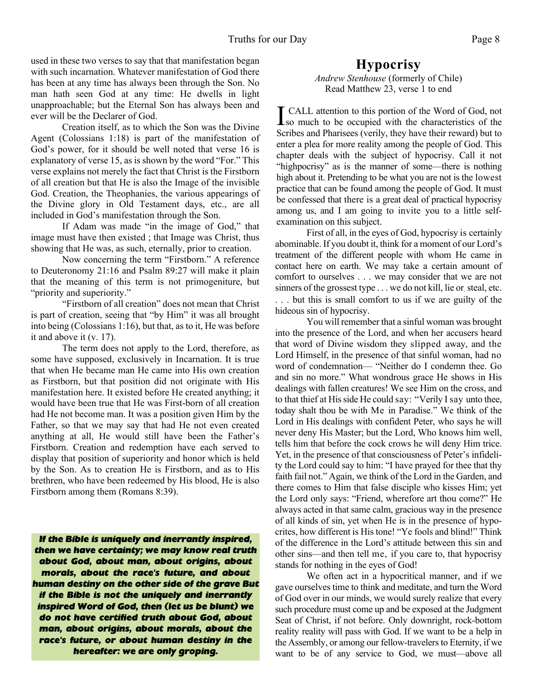used in these two verses to say that that manifestation began with such incarnation. Whatever manifestation of God there has been at any time has always been through the Son. No man hath seen God at any time: He dwells in light unapproachable; but the Eternal Son has always been and ever will be the Declarer of God.

 Creation itself, as to which the Son was the Divine Agent (Colossians 1:18) is part of the manifestation of God's power, for it should be well noted that verse 16 is explanatory of verse 15, as is shown by the word "For." This verse explains not merely the fact that Christ is the Firstborn of all creation but that He is also the Image of the invisible God. Creation, the Theophanies, the various appearings of the Divine glory in Old Testament days, etc., are all included in God's manifestation through the Son.

 If Adam was made "in the image of God," that image must have then existed ; that Image was Christ, thus showing that He was, as such, eternally, prior to creation.

 Now concerning the term "Firstborn." A reference to Deuteronomy 21:16 and Psalm 89:27 will make it plain that the meaning of this term is not primogeniture, but "priority and superiority."

 "Firstborn of all creation" does not mean that Christ is part of creation, seeing that "by Him" it was all brought into being (Colossians 1:16), but that, as to it, He was before it and above it (v. 17).

 The term does not apply to the Lord, therefore, as some have supposed, exclusively in Incarnation. It is true that when He became man He came into His own creation as Firstborn, but that position did not originate with His manifestation here. It existed before He created anything; it would have been true that He was First-born of all creation had He not become man. It was a position given Him by the Father, so that we may say that had He not even created anything at all, He would still have been the Father's Firstborn. Creation and redemption have each served to display that position of superiority and honor which is held by the Son. As to creation He is Firstborn, and as to His brethren, who have been redeemed by His blood, He is also Firstborn among them (Romans 8:39).

*If the Bible is uniquely and inerrantly inspired, then we have certainty; we may know real truth about God, about man, about origins, about morals, about the race's future, and about human destiny on the other side of the grave But if the Bible is not the uniquely and inerrantly inspired Word of God, then (let us be blunt) we do not have certified truth about God, about man, about origins, about morals, about the race's future, or about human destiny in the hereafter: we are only groping.*

## **Hypocrisy**

*Andrew Stenhouse* (formerly of Chile) Read Matthew 23, verse 1 to end

**I** CALL attention to this portion of the Word of God, not<br>so much to be occupied with the characteristics of the CALL attention to this portion of the Word of God, not Scribes and Pharisees (verily, they have their reward) but to enter a plea for more reality among the people of God. This chapter deals with the subject of hypocrisy. Call it not "highpocrisy" as is the manner of some—there is nothing high about it. Pretending to be what you are not is the lowest practice that can be found among the people of God. It must be confessed that there is a great deal of practical hypocrisy among us, and I am going to invite you to a little selfexamination on this subject.

First of all, in the eyes of God, hypocrisy is certainly abominable. If you doubt it, think for a moment of our Lord's treatment of the different people with whom He came in contact here on earth. We may take a certain amount of comfort to ourselves . . . we may consider that we are not sinners of the grossest type . . . we do not kill, lie or steal, etc. . . . but this is small comfort to us if we are guilty of the hideous sin of hypocrisy.

You will remember that a sinful woman was brought into the presence of the Lord, and when her accusers heard that word of Divine wisdom they slipped away, and the Lord Himself, in the presence of that sinful woman, had no word of condemnation— "Neither do I condemn thee. Go and sin no more." What wondrous grace He shows in His dealings with fallen creatures! We see Him on the cross, and to that thief at His side He could say: "Verily I say unto thee, today shalt thou be with Me in Paradise." We think of the Lord in His dealings with confident Peter, who says he will never deny His Master; but the Lord, Who knows him well, tells him that before the cock crows he will deny Him trice. Yet, in the presence of that consciousness of Peter's infidelity the Lord could say to him: "I have prayed for thee that thy faith fail not." Again, we think of the Lord in the Garden, and there comes to Him that false disciple who kisses Him; yet the Lord only says: "Friend, wherefore art thou come?" He always acted in that same calm, gracious way in the presence of all kinds of sin, yet when He is in the presence of hypocrites, how different is His tone! "Ye fools and blind!" Think of the difference in the Lord's attitude between this sin and other sins—and then tell me, if you care to, that hypocrisy stands for nothing in the eyes of God!

We often act in a hypocritical manner, and if we gave ourselves time to think and meditate, and turn the Word of God over in our minds, we would surely realize that every such procedure must come up and be exposed at the Judgment Seat of Christ, if not before. Only downright, rock-bottom reality reality will pass with God. If we want to be a help in the Assembly, or among our fellow-travelers to Eternity, if we want to be of any service to God, we must—above all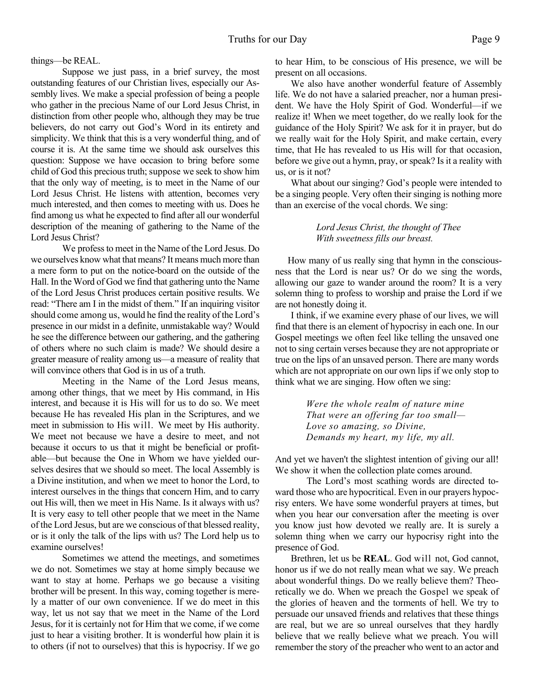things—be REAL.

Suppose we just pass, in a brief survey, the most outstanding features of our Christian lives, especially our Assembly lives. We make a special profession of being a people who gather in the precious Name of our Lord Jesus Christ, in distinction from other people who, although they may be true believers, do not carry out God's Word in its entirety and simplicity. We think that this is a very wonderful thing, and of course it is. At the same time we should ask ourselves this question: Suppose we have occasion to bring before some child of God this precious truth; suppose we seek to show him that the only way of meeting, is to meet in the Name of our Lord Jesus Christ. He listens with attention, becomes very much interested, and then comes to meeting with us. Does he find among us what he expected to find after all our wonderful description of the meaning of gathering to the Name of the Lord Jesus Christ?

We profess to meet in the Name of the Lord Jesus. Do we ourselves know what that means? It means much more than a mere form to put on the notice-board on the outside of the Hall. In the Word of God we find that gathering unto the Name of the Lord Jesus Christ produces certain positive results. We read: "There am I in the midst of them." If an inquiring visitor should come among us, would he find the reality of the Lord's presence in our midst in a definite, unmistakable way? Would he see the difference between our gathering, and the gathering of others where no such claim is made? We should desire a greater measure of reality among us—a measure of reality that will convince others that God is in us of a truth.

Meeting in the Name of the Lord Jesus means, among other things, that we meet by His command, in His interest, and because it is His will for us to do so. We meet because He has revealed His plan in the Scriptures, and we meet in submission to His will. We meet by His authority. We meet not because we have a desire to meet, and not because it occurs to us that it might be beneficial or profitable—but because the One in Whom we have yielded ourselves desires that we should so meet. The local Assembly is a Divine institution, and when we meet to honor the Lord, to interest ourselves in the things that concern Him, and to carry out His will, then we meet in His Name. Is it always with us? It is very easy to tell other people that we meet in the Name of the Lord Jesus, but are we conscious of that blessed reality, or is it only the talk of the lips with us? The Lord help us to examine ourselves!

Sometimes we attend the meetings, and sometimes we do not. Sometimes we stay at home simply because we want to stay at home. Perhaps we go because a visiting brother will be present. In this way, coming together is merely a matter of our own convenience. If we do meet in this way, let us not say that we meet in the Name of the Lord Jesus, for it is certainly not for Him that we come, if we come just to hear a visiting brother. It is wonderful how plain it is to others (if not to ourselves) that this is hypocrisy. If we go

to hear Him, to be conscious of His presence, we will be present on all occasions.

We also have another wonderful feature of Assembly life. We do not have a salaried preacher, nor a human president. We have the Holy Spirit of God. Wonderful—if we realize it! When we meet together, do we really look for the guidance of the Holy Spirit? We ask for it in prayer, but do we really wait for the Holy Spirit, and make certain, every time, that He has revealed to us His will for that occasion, before we give out a hymn, pray, or speak? Is it a reality with us, or is it not?

What about our singing? God's people were intended to be a singing people. Very often their singing is nothing more than an exercise of the vocal chords. We sing:

#### *Lord Jesus Christ, the thought of Thee With sweetness fills our breast.*

How many of us really sing that hymn in the consciousness that the Lord is near us? Or do we sing the words, allowing our gaze to wander around the room? It is a very solemn thing to profess to worship and praise the Lord if we are not honestly doing it.

I think, if we examine every phase of our lives, we will find that there is an element of hypocrisy in each one. In our Gospel meetings we often feel like telling the unsaved one not to sing certain verses because they are not appropriate or true on the lips of an unsaved person. There are many words which are not appropriate on our own lips if we only stop to think what we are singing. How often we sing:

> *Were the whole realm of nature mine That were an offering far too small— Love so amazing, so Divine, Demands my heart, my life, my all.*

And yet we haven't the slightest intention of giving our all! We show it when the collection plate comes around.

The Lord's most scathing words are directed toward those who are hypocritical. Even in our prayers hypocrisy enters. We have some wonderful prayers at times, but when you hear our conversation after the meeting is over you know just how devoted we really are. It is surely a solemn thing when we carry our hypocrisy right into the presence of God.

Brethren, let us be **REAL**. God will not, God cannot, honor us if we do not really mean what we say. We preach about wonderful things. Do we really believe them? Theoretically we do. When we preach the Gospel we speak of the glories of heaven and the torments of hell. We try to persuade our unsaved friends and relatives that these things are real, but we are so unreal ourselves that they hardly believe that we really believe what we preach. You will remember the story of the preacher who went to an actor and